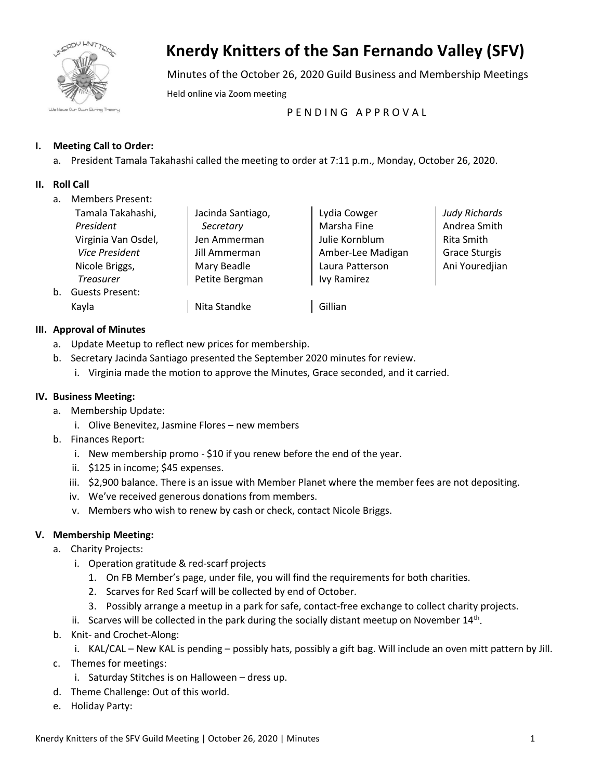

# **Knerdy Knitters of the San Fernando Valley (SFV)**

Minutes of the October 26, 2020 Guild Business and Membership Meetings

Held online via Zoom meeting

PENDING APPROVAL

# **I. Meeting Call to Order:**

a. President Tamala Takahashi called the meeting to order at 7:11 p.m., Monday, October 26, 2020.

## **II. Roll Call**

a. Members Present:

|    | Tamala Takahashi,      | Jacinda Santiago, | Lydia Cowger      | <b>Judy Richards</b> |
|----|------------------------|-------------------|-------------------|----------------------|
|    | President              | Secretary         | Marsha Fine       | Andrea Smith         |
|    | Virginia Van Osdel,    | Jen Ammerman      | Julie Kornblum    | Rita Smith           |
|    | <b>Vice President</b>  | Jill Ammerman     | Amber-Lee Madigan | <b>Grace Sturgis</b> |
|    | Nicole Briggs,         | Mary Beadle       | Laura Patterson   | Ani Youredjian       |
|    | <b>Treasurer</b>       | Petite Bergman    | Ivy Ramirez       |                      |
| b. | <b>Guests Present:</b> |                   |                   |                      |
|    | Kayla                  | Nita Standke      | Gillian           |                      |

## **III. Approval of Minutes**

- a. Update Meetup to reflect new prices for membership.
- b. Secretary Jacinda Santiago presented the September 2020 minutes for review.
	- i. Virginia made the motion to approve the Minutes, Grace seconded, and it carried.

#### **IV. Business Meeting:**

- a. Membership Update:
	- i. Olive Benevitez, Jasmine Flores new members
- b. Finances Report:
	- i. New membership promo \$10 if you renew before the end of the year.
	- ii. \$125 in income; \$45 expenses.
	- iii. \$2,900 balance. There is an issue with Member Planet where the member fees are not depositing.
	- iv. We've received generous donations from members.
	- v. Members who wish to renew by cash or check, contact Nicole Briggs.

## **V. Membership Meeting:**

- a. Charity Projects:
	- i. Operation gratitude & red-scarf projects
		- 1. On FB Member's page, under file, you will find the requirements for both charities.
		- 2. Scarves for Red Scarf will be collected by end of October.
		- 3. Possibly arrange a meetup in a park for safe, contact-free exchange to collect charity projects.
	- ii. Scarves will be collected in the park during the socially distant meetup on November  $14<sup>th</sup>$ .
- b. Knit- and Crochet-Along:
	- i. KAL/CAL New KAL is pending possibly hats, possibly a gift bag. Will include an oven mitt pattern by Jill.
- c. Themes for meetings:
	- i. Saturday Stitches is on Halloween dress up.
- d. Theme Challenge: Out of this world.
- e. Holiday Party: